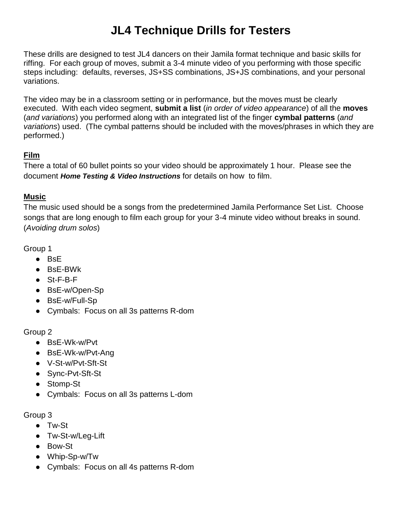## **JL4 Technique Drills for Testers**

These drills are designed to test JL4 dancers on their Jamila format technique and basic skills for riffing. For each group of moves, submit a 3-4 minute video of you performing with those specific steps including: defaults, reverses, JS+SS combinations, JS+JS combinations, and your personal variations.

The video may be in a classroom setting or in performance, but the moves must be clearly executed. With each video segment, **submit a list** (*in order of video appearance*) of all the **moves** (*and variations*) you performed along with an integrated list of the finger **cymbal patterns** (*and variations*) used. (The cymbal patterns should be included with the moves/phrases in which they are performed.)

## **Film**

There a total of 60 bullet points so your video should be approximately 1 hour. Please see the document *Home Testing & Video Instructions* for details on how to film.

## **Music**

The music used should be a songs from the predetermined Jamila Performance Set List. Choose songs that are long enough to film each group for your 3-4 minute video without breaks in sound. (*Avoiding drum solos*)

Group 1

- BsE
- BsE-BWk
- St-F-B-F
- BsE-w/Open-Sp
- BsE-w/Full-Sp
- Cymbals: Focus on all 3s patterns R-dom

Group 2

- BsE-Wk-w/Pvt
- BsE-Wk-w/Pvt-Ang
- V-St-w/Pvt-Sft-St
- Sync-Pvt-Sft-St
- Stomp-St
- Cymbals: Focus on all 3s patterns L-dom

Group 3

- Tw-St
- Tw-St-w/Leg-Lift
- Bow-St
- Whip-Sp-w/Tw
- Cymbals: Focus on all 4s patterns R-dom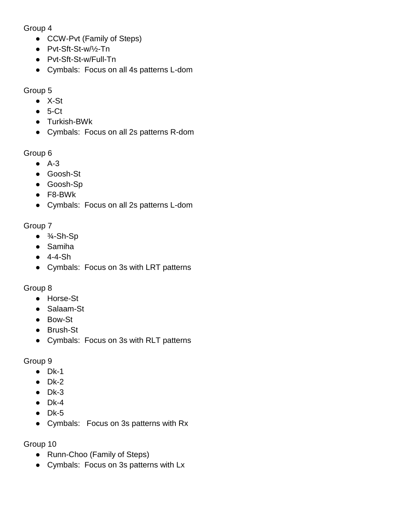Group 4

- CCW-Pvt (Family of Steps)
- Pvt-Sft-St-w/½-Tn
- Pvt-Sft-St-w/Full-Tn
- Cymbals: Focus on all 4s patterns L-dom

Group 5

- X-St
- $5-Ct$
- Turkish-BWk
- Cymbals: Focus on all 2s patterns R-dom

Group 6

- A-3
- Goosh-St
- Goosh-Sp
- F8-BWk
- Cymbals: Focus on all 2s patterns L-dom

Group 7

- $\bullet$   $\frac{3}{4}$ -Sh-Sp
- Samiha
- $-4-4-Sh$
- Cymbals: Focus on 3s with LRT patterns

Group 8

- Horse-St
- Salaam-St
- Bow-St
- Brush-St
- Cymbals: Focus on 3s with RLT patterns

Group 9

- $\bullet$  Dk-1
- $\bullet$  Dk-2
- $\bullet$  Dk-3
- $\bullet$  Dk-4
- $\bullet$  Dk-5
- Cymbals: Focus on 3s patterns with Rx

Group 10

- Runn-Choo (Family of Steps)
- Cymbals: Focus on 3s patterns with Lx